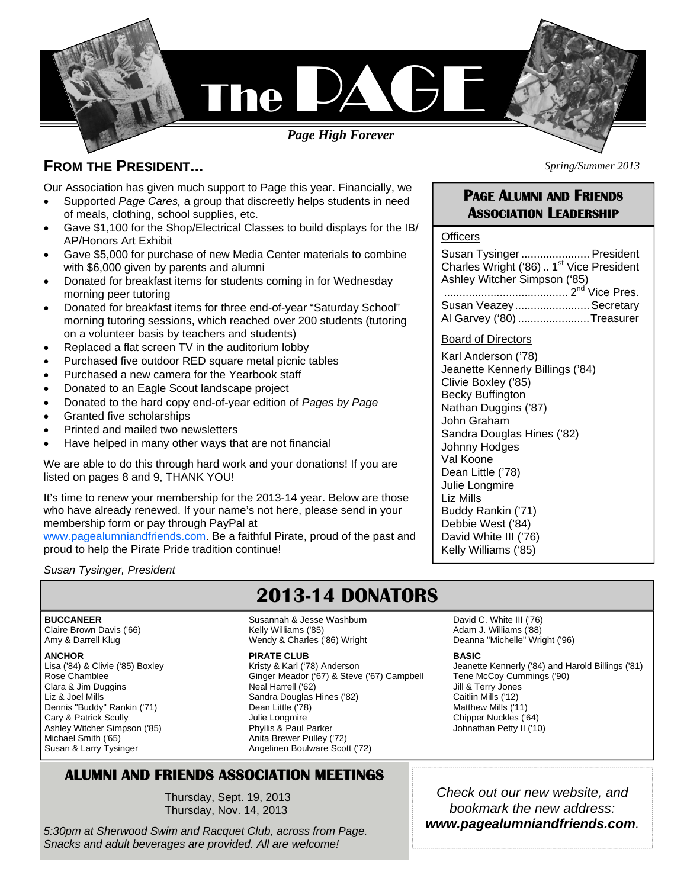

### **FROM THE PRESIDENT...**

Our Association has given much support to Page this year. Financially, we

- Supported *Page Cares,* a group that discreetly helps students in need of meals, clothing, school supplies, etc.
- Gave \$1,100 for the Shop/Electrical Classes to build displays for the IB/ AP/Honors Art Exhibit
- Gave \$5,000 for purchase of new Media Center materials to combine with \$6,000 given by parents and alumni
- Donated for breakfast items for students coming in for Wednesday morning peer tutoring
- Donated for breakfast items for three end-of-year "Saturday School" morning tutoring sessions, which reached over 200 students (tutoring on a volunteer basis by teachers and students)
- Replaced a flat screen TV in the auditorium lobby
- Purchased five outdoor RED square metal picnic tables
- Purchased a new camera for the Yearbook staff
- Donated to an Eagle Scout landscape project
- Donated to the hard copy end-of-year edition of *Pages by Page*
- Granted five scholarships
- Printed and mailed two newsletters
- Have helped in many other ways that are not financial

We are able to do this through hard work and your donations! If you are listed on pages 8 and 9, THANK YOU!

It's time to renew your membership for the 2013-14 year. Below are those who have already renewed. If your name's not here, please send in your membership form or pay through PayPal at

www.pagealumniandfriends.com. Be a faithful Pirate, proud of the past and proud to help the Pirate Pride tradition continue!

*Susan Tysinger, President*

# **2013-14 DONATORS**

**BUCCANEER**  Claire Brown Davis ('66) Amy & Darrell Klug

#### **ANCHOR**

Lisa ('84) & Clivie ('85) Boxley Rose Chamblee Clara & Jim Duggins Liz & Joel Mills Dennis "Buddy" Rankin ('71) Cary & Patrick Scully Ashley Witcher Simpson ('85) Michael Smith ('65) Susan & Larry Tysinger

Susannah & Jesse Washburn Kelly Williams ('85) Wendy & Charles ('86) Wright

#### **PIRATE CLUB**

Kristy & Karl ('78) Anderson Ginger Meador ('67) & Steve ('67) Campbell Neal Harrell ('62) Sandra Douglas Hines ('82) Dean Little ('78) Julie Longmire Phyllis & Paul Parker Anita Brewer Pulley ('72) Angelinen Boulware Scott ('72)

### **ALUMNI AND FRIENDS ASSOCIATION MEETINGS**

Thursday, Sept. 19, 2013 Thursday, Nov. 14, 2013

*5:30pm at Sherwood Swim and Racquet Club, across from Page. Snacks and adult beverages are provided. All are welcome!* 

# **PAGE ALUMNI AND FRIENDS**

*Spring/Summer 2013* 

# **ASSOCIATION LEADERSHIP**

### **Officers**

| Susan Tysinger  President                            |  |
|------------------------------------------------------|--|
| Charles Wright ('86)  1 <sup>st</sup> Vice President |  |
| Ashley Witcher Simpson ('85)                         |  |
|                                                      |  |
| Susan Veazey Secretary                               |  |
| Al Garvey ('80) Treasurer                            |  |

### Board of Directors

Karl Anderson ('78) Jeanette Kennerly Billings ('84) Clivie Boxley ('85) Becky Buffington Nathan Duggins ('87) John Graham Sandra Douglas Hines ('82) Johnny Hodges Val Koone Dean Little ('78) Julie Longmire Liz Mills Buddy Rankin ('71) Debbie West ('84) David White III ('76) Kelly Williams ('85)

David C. White III ('76) Adam J. Williams ('88) Deanna "Michelle" Wright ('96)

#### **BASIC**

Jeanette Kennerly ('84) and Harold Billings ('81) Tene McCoy Cummings ('90) Jill & Terry Jones Caitlin Mills ('12) Matthew Mills ('11) Chipper Nuckles ('64) Johnathan Petty II ('10)

*Check out our new website, and bookmark the new address: www.pagealumniandfriends.com.*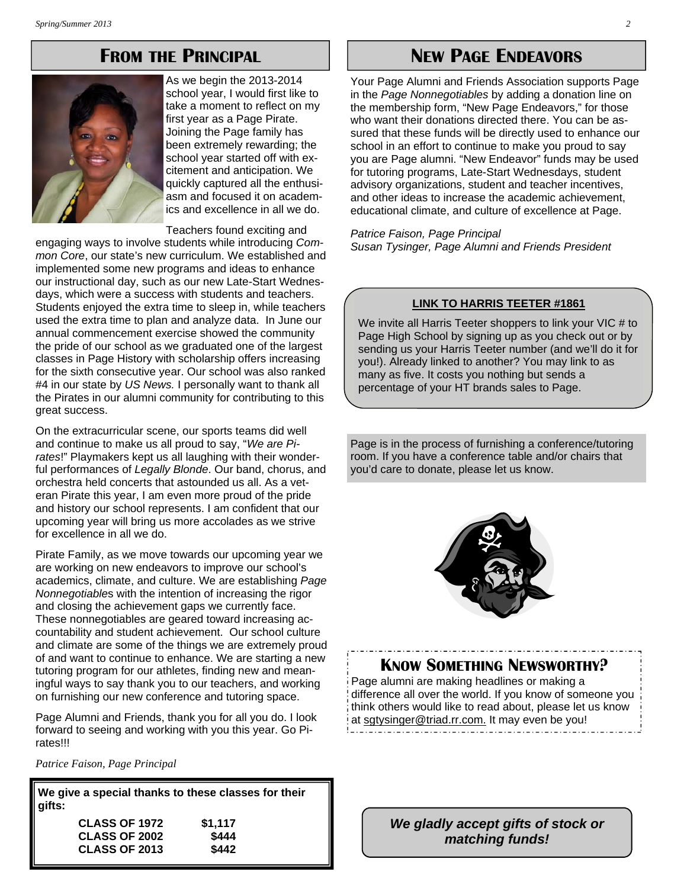## **FROM THE PRINCIPAL**



As we begin the 2013-2014 school year, I would first like to take a moment to reflect on my first year as a Page Pirate. Joining the Page family has been extremely rewarding; the school year started off with excitement and anticipation. We quickly captured all the enthusiasm and focused it on academics and excellence in all we do.

Teachers found exciting and

engaging ways to involve students while introducing *Common Core*, our state's new curriculum. We established and implemented some new programs and ideas to enhance our instructional day, such as our new Late-Start Wednesdays, which were a success with students and teachers. Students enjoyed the extra time to sleep in, while teachers used the extra time to plan and analyze data. In June our annual commencement exercise showed the community the pride of our school as we graduated one of the largest classes in Page History with scholarship offers increasing for the sixth consecutive year. Our school was also ranked #4 in our state by *US News.* I personally want to thank all the Pirates in our alumni community for contributing to this great success.

On the extracurricular scene, our sports teams did well and continue to make us all proud to say, "*We are Pirates*!" Playmakers kept us all laughing with their wonderful performances of *Legally Blonde*. Our band, chorus, and orchestra held concerts that astounded us all. As a veteran Pirate this year, I am even more proud of the pride and history our school represents. I am confident that our upcoming year will bring us more accolades as we strive for excellence in all we do.

Pirate Family, as we move towards our upcoming year we are working on new endeavors to improve our school's academics, climate, and culture. We are establishing *Page Nonnegotiable*s with the intention of increasing the rigor and closing the achievement gaps we currently face. These nonnegotiables are geared toward increasing accountability and student achievement. Our school culture and climate are some of the things we are extremely proud of and want to continue to enhance. We are starting a new tutoring program for our athletes, finding new and meaningful ways to say thank you to our teachers, and working on furnishing our new conference and tutoring space.

Page Alumni and Friends, thank you for all you do. I look forward to seeing and working with you this year. Go Pirates!!!

*Patrice Faison, Page Principal* 

**We give a special thanks to these classes for their gifts:** 

| \$1.117 |
|---------|
| \$444   |
| \$442   |
|         |

# **NEW PAGE ENDEAVORS**

Your Page Alumni and Friends Association supports Page in the *Page Nonnegotiables* by adding a donation line on the membership form, "New Page Endeavors," for those who want their donations directed there. You can be assured that these funds will be directly used to enhance our school in an effort to continue to make you proud to say you are Page alumni. "New Endeavor" funds may be used for tutoring programs, Late-Start Wednesdays, student advisory organizations, student and teacher incentives, and other ideas to increase the academic achievement, educational climate, and culture of excellence at Page.

*Patrice Faison, Page Principal Susan Tysinger, Page Alumni and Friends President* 

#### **LINK TO HARRIS TEETER #1861**

We invite all Harris Teeter shoppers to link your VIC # to Page High School by signing up as you check out or by sending us your Harris Teeter number (and we'll do it for you!). Already linked to another? You may link to as many as five. It costs you nothing but sends a percentage of your HT brands sales to Page.

Page is in the process of furnishing a conference/tutoring room. If you have a conference table and/or chairs that you'd care to donate, please let us know.



### **KNOW SOMETHING NEWSWORTHY?**

Page alumni are making headlines or making a difference all over the world. If you know of someone you think others would like to read about, please let us know at sgtysinger@triad.rr.com. It may even be you!

> *We gladly accept gifts of stock or matching funds!*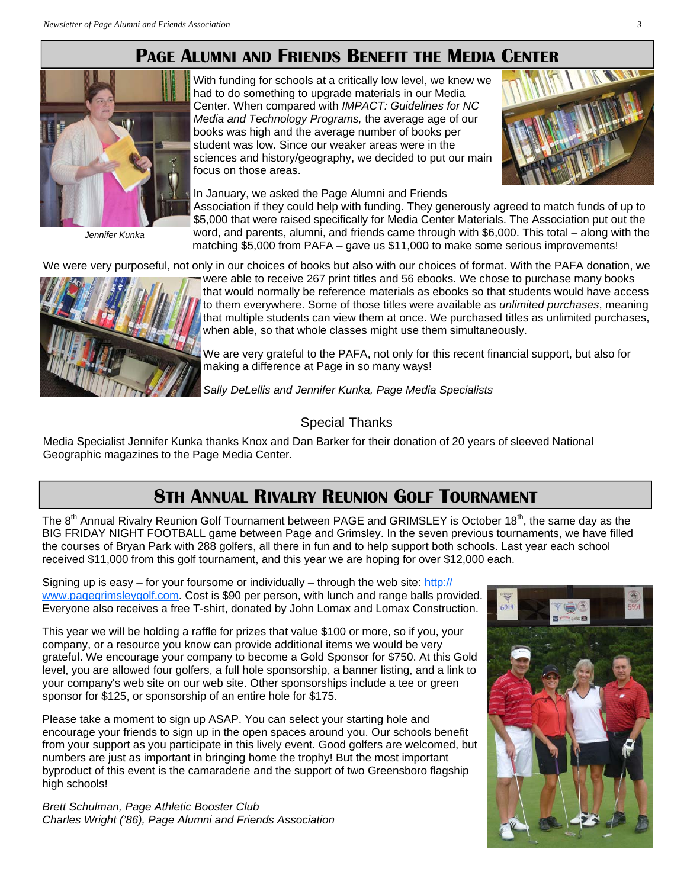# **PAGE ALUMNI AND FRIENDS BENEFIT THE MEDIA CENTER**



*Jennifer Kunka* 

With funding for schools at a critically low level, we knew we had to do something to upgrade materials in our Media Center. When compared with *IMPACT: Guidelines for NC Media and Technology Programs,* the average age of our books was high and the average number of books per student was low. Since our weaker areas were in the sciences and history/geography, we decided to put our main focus on those areas.



In January, we asked the Page Alumni and Friends Association if they could help with funding. They generously agreed to match funds of up to \$5,000 that were raised specifically for Media Center Materials. The Association put out the word, and parents, alumni, and friends came through with \$6,000. This total – along with the matching \$5,000 from PAFA – gave us \$11,000 to make some serious improvements!

We were very purposeful, not only in our choices of books but also with our choices of format. With the PAFA donation, we



were able to receive 267 print titles and 56 ebooks. We chose to purchase many books that would normally be reference materials as ebooks so that students would have access to them everywhere. Some of those titles were available as *unlimited purchases*, meaning that multiple students can view them at once. We purchased titles as unlimited purchases, when able, so that whole classes might use them simultaneously.

We are very grateful to the PAFA, not only for this recent financial support, but also for making a difference at Page in so many ways!

*Sally DeLellis and Jennifer Kunka, Page Media Specialists*

### Special Thanks

Media Specialist Jennifer Kunka thanks Knox and Dan Barker for their donation of 20 years of sleeved National Geographic magazines to the Page Media Center.

# **8TH ANNUAL RIVALRY REUNION GOLF TOURNAMENT**

The  $8<sup>th</sup>$  Annual Rivalry Reunion Golf Tournament between PAGE and GRIMSLEY is October 18<sup>th</sup>, the same day as the BIG FRIDAY NIGHT FOOTBALL game between Page and Grimsley. In the seven previous tournaments, we have filled the courses of Bryan Park with 288 golfers, all there in fun and to help support both schools. Last year each school received \$11,000 from this golf tournament, and this year we are hoping for over \$12,000 each.

Signing up is easy  $-$  for your foursome or individually  $-$  through the web site: http:// www.pagegrimsleygolf.com. Cost is \$90 per person, with lunch and range balls provided. Everyone also receives a free T-shirt, donated by John Lomax and Lomax Construction.

This year we will be holding a raffle for prizes that value \$100 or more, so if you, your company, or a resource you know can provide additional items we would be very grateful. We encourage your company to become a Gold Sponsor for \$750. At this Gold level, you are allowed four golfers, a full hole sponsorship, a banner listing, and a link to your company's web site on our web site. Other sponsorships include a tee or green sponsor for \$125, or sponsorship of an entire hole for \$175.

Please take a moment to sign up ASAP. You can select your starting hole and encourage your friends to sign up in the open spaces around you. Our schools benefit from your support as you participate in this lively event. Good golfers are welcomed, but numbers are just as important in bringing home the trophy! But the most important byproduct of this event is the camaraderie and the support of two Greensboro flagship high schools!

*Brett Schulman, Page Athletic Booster Club Charles Wright ('86), Page Alumni and Friends Association* 

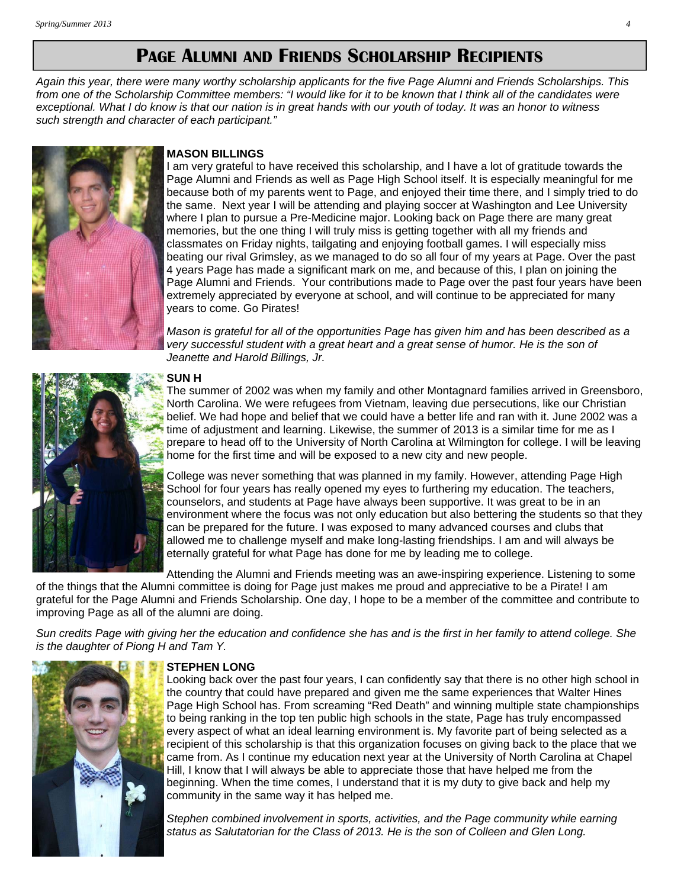# **PAGE ALUMNI AND FRIENDS SCHOLARSHIP RECIPIENTS**

*Again this year, there were many worthy scholarship applicants for the five Page Alumni and Friends Scholarships. This from one of the Scholarship Committee members: "I would like for it to be known that I think all of the candidates were exceptional. What I do know is that our nation is in great hands with our youth of today. It was an honor to witness such strength and character of each participant."* 



#### **MASON BILLINGS**

am very grateful to have received this scholarship, and I have a lot of gratitude towards the Page Alumni and Friends as well as Page High School itself. It is especially meaningful for me because both of my parents went to Page, and enjoyed their time there, and I simply tried to do the same. Next year I will be attending and playing soccer at Washington and Lee University where I plan to pursue a Pre-Medicine major. Looking back on Page there are many great memories, but the one thing I will truly miss is getting together with all my friends and classmates on Friday nights, tailgating and enjoying football games. I will especially miss beating our rival Grimsley, as we managed to do so all four of my years at Page. Over the past 4 years Page has made a significant mark on me, and because of this, I plan on joining the Page Alumni and Friends. Your contributions made to Page over the past four years have been extremely appreciated by everyone at school, and will continue to be appreciated for many years to come. Go Pirates!

*Mason is grateful for all of the opportunities Page has given him and has been described as a very successful student with a great heart and a great sense of humor. He is the son of Jeanette and Harold Billings, Jr.* 



#### **SUN H**

The summer of 2002 was when my family and other Montagnard families arrived in Greensboro, North Carolina. We were refugees from Vietnam, leaving due persecutions, like our Christian belief. We had hope and belief that we could have a better life and ran with it. June 2002 was a time of adjustment and learning. Likewise, the summer of 2013 is a similar time for me as I prepare to head off to the University of North Carolina at Wilmington for college. I will be leaving home for the first time and will be exposed to a new city and new people.

College was never something that was planned in my family. However, attending Page High School for four years has really opened my eyes to furthering my education. The teachers, counselors, and students at Page have always been supportive. It was great to be in an environment where the focus was not only education but also bettering the students so that they can be prepared for the future. I was exposed to many advanced courses and clubs that allowed me to challenge myself and make long-lasting friendships. I am and will always be eternally grateful for what Page has done for me by leading me to college.

Attending the Alumni and Friends meeting was an awe-inspiring experience. Listening to some of the things that the Alumni committee is doing for Page just makes me proud and appreciative to be a Pirate! I am grateful for the Page Alumni and Friends Scholarship. One day, I hope to be a member of the committee and contribute to improving Page as all of the alumni are doing.

*Sun credits Page with giving her the education and confidence she has and is the first in her family to attend college. She is the daughter of Piong H and Tam Y.* 



#### **STEPHEN LONG**

Looking back over the past four years, I can confidently say that there is no other high school in the country that could have prepared and given me the same experiences that Walter Hines Page High School has. From screaming "Red Death" and winning multiple state championships to being ranking in the top ten public high schools in the state, Page has truly encompassed every aspect of what an ideal learning environment is. My favorite part of being selected as a recipient of this scholarship is that this organization focuses on giving back to the place that we came from. As I continue my education next year at the University of North Carolina at Chapel Hill, I know that I will always be able to appreciate those that have helped me from the beginning. When the time comes, I understand that it is my duty to give back and help my community in the same way it has helped me.

*Stephen combined involvement in sports, activities, and the Page community while earning status as Salutatorian for the Class of 2013. He is the son of Colleen and Glen Long.*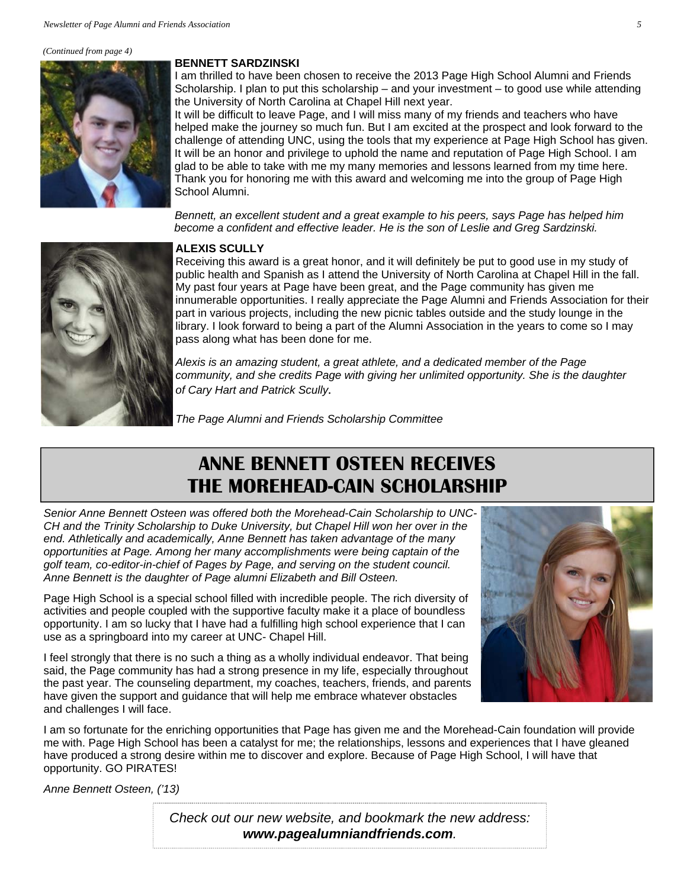#### *(Continued from page 4)*



#### **BENNETT SARDZINSKI**

I am thrilled to have been chosen to receive the 2013 Page High School Alumni and Friends Scholarship. I plan to put this scholarship – and your investment – to good use while attending the University of North Carolina at Chapel Hill next year.

It will be difficult to leave Page, and I will miss many of my friends and teachers who have helped make the journey so much fun. But I am excited at the prospect and look forward to the challenge of attending UNC, using the tools that my experience at Page High School has given. It will be an honor and privilege to uphold the name and reputation of Page High School. I am glad to be able to take with me my many memories and lessons learned from my time here. Thank you for honoring me with this award and welcoming me into the group of Page High School Alumni.

*Bennett, an excellent student and a great example to his peers, says Page has helped him become a confident and effective leader. He is the son of Leslie and Greg Sardzinski.* 



#### **ALEXIS SCULLY**

Receiving this award is a great honor, and it will definitely be put to good use in my study of public health and Spanish as I attend the University of North Carolina at Chapel Hill in the fall. My past four years at Page have been great, and the Page community has given me innumerable opportunities. I really appreciate the Page Alumni and Friends Association for their part in various projects, including the new picnic tables outside and the study lounge in the library. I look forward to being a part of the Alumni Association in the years to come so I may pass along what has been done for me.

*Alexis is an amazing student, a great athlete, and a dedicated member of the Page community, and she credits Page with giving her unlimited opportunity. She is the daughter of Cary Hart and Patrick Scully.* 

*The Page Alumni and Friends Scholarship Committee*

# **ANNE BENNETT OSTEEN RECEIVES THE MOREHEAD-CAIN SCHOLARSHIP**

*Senior Anne Bennett Osteen was offered both the Morehead-Cain Scholarship to UNC-CH and the Trinity Scholarship to Duke University, but Chapel Hill won her over in the end. Athletically and academically, Anne Bennett has taken advantage of the many opportunities at Page. Among her many accomplishments were being captain of the golf team, co-editor-in-chief of Pages by Page, and serving on the student council. Anne Bennett is the daughter of Page alumni Elizabeth and Bill Osteen.* 

Page High School is a special school filled with incredible people. The rich diversity of activities and people coupled with the supportive faculty make it a place of boundless opportunity. I am so lucky that I have had a fulfilling high school experience that I can use as a springboard into my career at UNC- Chapel Hill.

I feel strongly that there is no such a thing as a wholly individual endeavor. That being said, the Page community has had a strong presence in my life, especially throughout the past year. The counseling department, my coaches, teachers, friends, and parents have given the support and guidance that will help me embrace whatever obstacles and challenges I will face.



I am so fortunate for the enriching opportunities that Page has given me and the Morehead-Cain foundation will provide me with. Page High School has been a catalyst for me; the relationships, lessons and experiences that I have gleaned have produced a strong desire within me to discover and explore. Because of Page High School, I will have that opportunity. GO PIRATES!

*Anne Bennett Osteen, ('13)* 

*Check out our new website, and bookmark the new address: www.pagealumniandfriends.com.*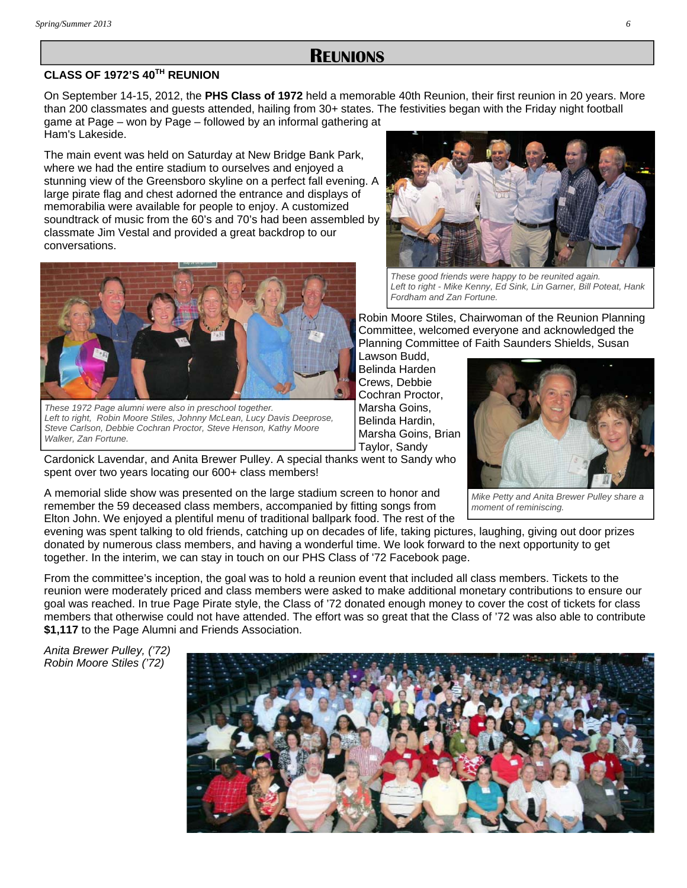### **REUNIONS**

### **CLASS OF 1972'S 40TH REUNION**

On September 14-15, 2012, the **PHS Class of 1972** held a memorable 40th Reunion, their first reunion in 20 years. More than 200 classmates and guests attended, hailing from 30+ states. The festivities began with the Friday night football game at Page – won by Page – followed by an informal gathering at Ham's Lakeside.

The main event was held on Saturday at New Bridge Bank Park, where we had the entire stadium to ourselves and enjoyed a stunning view of the Greensboro skyline on a perfect fall evening. A large pirate flag and chest adorned the entrance and displays of memorabilia were available for people to enjoy. A customized soundtrack of music from the 60's and 70's had been assembled by classmate Jim Vestal and provided a great backdrop to our conversations.



*These 1972 Page alumni were also in preschool together. Left to right, Robin Moore Stiles, Johnny McLean, Lucy Davis Deeprose, Steve Carlson, Debbie Cochran Proctor, Steve Henson, Kathy Moore Walker, Zan Fortune.*



*These good friends were happy to be reunited again. Left to right - Mike Kenny, Ed Sink, Lin Garner, Bill Poteat, Hank Fordham and Zan Fortune.*

*moment of reminiscing.*

Robin Moore Stiles, Chairwoman of the Reunion Planning Committee, welcomed everyone and acknowledged the Planning Committee of Faith Saunders Shields, Susan

Lawson Budd, Belinda Harden Crews, Debbie Cochran Proctor, Marsha Goins, Belinda Hardin, Marsha Goins, Brian Taylor, Sandy



Cardonick Lavendar, and Anita Brewer Pulley. A special thanks went to Sandy who spent over two years locating our 600+ class members!

A memorial slide show was presented on the large stadium screen to honor and remember the 59 deceased class members, accompanied by fitting songs from Elton John. We enjoyed a plentiful menu of traditional ballpark food. The rest of the

evening was spent talking to old friends, catching up on decades of life, taking pictures, laughing, giving out door prizes donated by numerous class members, and having a wonderful time. We look forward to the next opportunity to get together. In the interim, we can stay in touch on our PHS Class of '72 Facebook page.

From the committee's inception, the goal was to hold a reunion event that included all class members. Tickets to the reunion were moderately priced and class members were asked to make additional monetary contributions to ensure our goal was reached. In true Page Pirate style, the Class of '72 donated enough money to cover the cost of tickets for class members that otherwise could not have attended. The effort was so great that the Class of '72 was also able to contribute **\$1,117** to the Page Alumni and Friends Association.

*Anita Brewer Pulley, ('72) Robin Moore Stiles ('72)* 

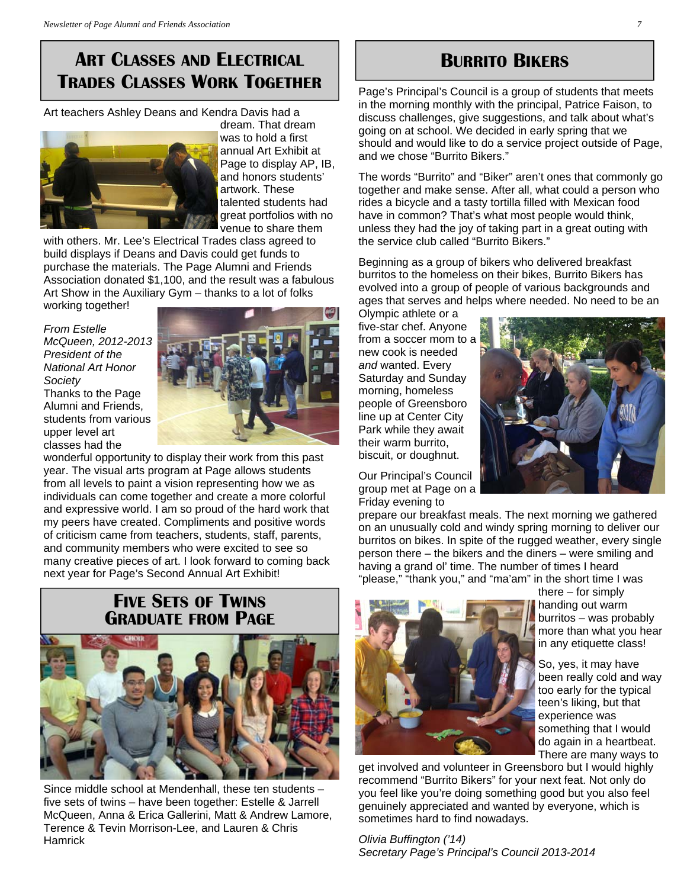# **ART CLASSES AND ELECTRICAL TRADES CLASSES WORK TOGETHER**

Art teachers Ashley Deans and Kendra Davis had a



dream. That dream was to hold a first annual Art Exhibit at Page to display AP, IB, and honors students' artwork. These talented students had great portfolios with no venue to share them

with others. Mr. Lee's Electrical Trades class agreed to build displays if Deans and Davis could get funds to purchase the materials. The Page Alumni and Friends Association donated \$1,100, and the result was a fabulous Art Show in the Auxiliary Gym – thanks to a lot of folks working together!

*From Estelle McQueen, 2012-2013 President of the National Art Honor Society*  Thanks to the Page Alumni and Friends, students from various upper level art classes had the



wonderful opportunity to display their work from this past year. The visual arts program at Page allows students from all levels to paint a vision representing how we as individuals can come together and create a more colorful and expressive world. I am so proud of the hard work that my peers have created. Compliments and positive words of criticism came from teachers, students, staff, parents, and community members who were excited to see so many creative pieces of art. I look forward to coming back next year for Page's Second Annual Art Exhibit!

# **FIVE SETS OF TWINS GRADUATE FROM PAGE**



Since middle school at Mendenhall, these ten students – five sets of twins – have been together: Estelle & Jarrell McQueen, Anna & Erica Gallerini, Matt & Andrew Lamore, Terence & Tevin Morrison-Lee, and Lauren & Chris **Hamrick** 

# **BURRITO BIKERS**

Page's Principal's Council is a group of students that meets in the morning monthly with the principal, Patrice Faison, to discuss challenges, give suggestions, and talk about what's going on at school. We decided in early spring that we should and would like to do a service project outside of Page, and we chose "Burrito Bikers."

The words "Burrito" and "Biker" aren't ones that commonly go together and make sense. After all, what could a person who rides a bicycle and a tasty tortilla filled with Mexican food have in common? That's what most people would think, unless they had the joy of taking part in a great outing with the service club called "Burrito Bikers."

Beginning as a group of bikers who delivered breakfast burritos to the homeless on their bikes, Burrito Bikers has evolved into a group of people of various backgrounds and ages that serves and helps where needed. No need to be an

Olympic athlete or a five-star chef. Anyone from a soccer mom to a new cook is needed *and* wanted. Every Saturday and Sunday morning, homeless people of Greensboro line up at Center City Park while they await their warm burrito, biscuit, or doughnut.

Our Principal's Council group met at Page on a Friday evening to

prepare our breakfast meals. The next morning we gathered on an unusually cold and windy spring morning to deliver our burritos on bikes. In spite of the rugged weather, every single person there – the bikers and the diners – were smiling and having a grand ol' time. The number of times I heard "please," "thank you," and "ma'am" in the short time I was



there – for simply handing out warm burritos – was probably more than what you hear in any etiquette class!

So, yes, it may have been really cold and way too early for the typical teen's liking, but that experience was something that I would do again in a heartbeat. There are many ways to

get involved and volunteer in Greensboro but I would highly recommend "Burrito Bikers" for your next feat. Not only do you feel like you're doing something good but you also feel genuinely appreciated and wanted by everyone, which is sometimes hard to find nowadays.

*Olivia Buffington ('14) Secretary Page's Principal's Council 2013-2014*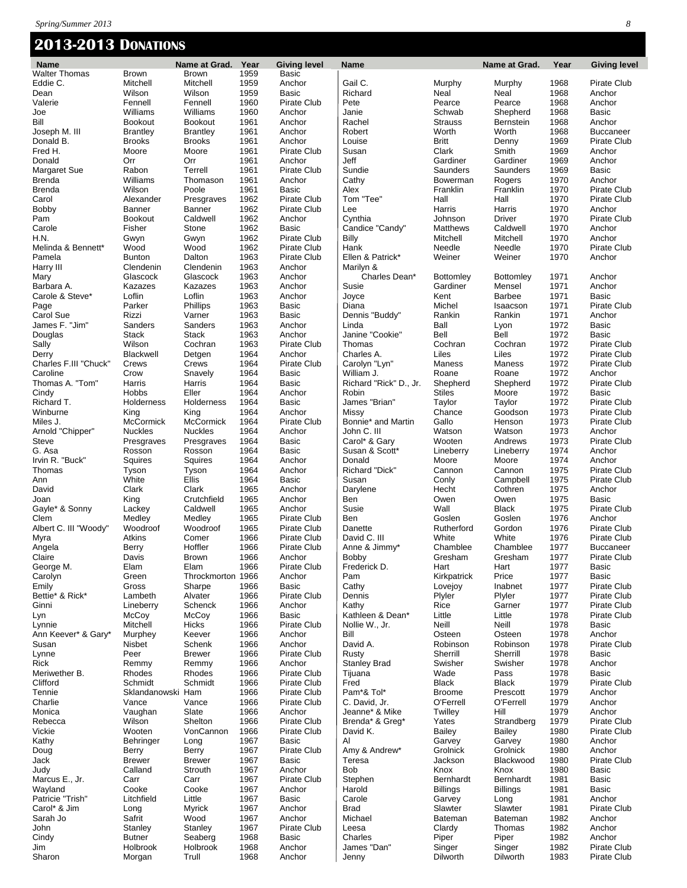### **2013-2013 DONATIONS**

| <b>Name</b>                      |                              | Name at Grad. Year       |              | Giving level               | <b>Name</b>                 |                               | Name at Grad.           | Year         | <b>Giving level</b>                |
|----------------------------------|------------------------------|--------------------------|--------------|----------------------------|-----------------------------|-------------------------------|-------------------------|--------------|------------------------------------|
| Walter Thomas<br>Eddie C.        | Brown<br>Mitchell            | <b>Brown</b><br>Mitchell | 1959<br>1959 | Basic<br>Anchor            | Gail C.                     |                               |                         | 1968         | Pirate Club                        |
| Dean                             | Wilson                       | Wilson                   | 1959         | <b>Basic</b>               | Richard                     | Murphy<br>Neal                | Murphy<br>Neal          | 1968         | Anchor                             |
| Valerie                          | Fennell                      | Fennell                  | 1960         | Pirate Club                | Pete                        | Pearce                        | Pearce                  | 1968         | Anchor                             |
| Joe                              | Williams                     | Williams                 | 1960         | Anchor                     | Janie                       | Schwab                        | Shepherd                | 1968         | <b>Basic</b>                       |
| Bill                             | <b>Bookout</b>               | <b>Bookout</b>           | 1961         | Anchor                     | Rachel                      | <b>Strauss</b>                | Bernstein               | 1968         | Anchor                             |
| Joseph M. III                    | <b>Brantley</b>              | <b>Brantley</b>          | 1961         | Anchor                     | Robert                      | Worth                         | Worth                   | 1968         | <b>Buccaneer</b>                   |
| Donald B.                        | <b>Brooks</b>                | <b>Brooks</b>            | 1961         | Anchor                     | Louise                      | <b>Britt</b>                  | Denny                   | 1969         | <b>Pirate Club</b>                 |
| Fred H.                          | Moore                        | Moore                    | 1961         | Pirate Club                | Susan                       | Clark                         | Smith                   | 1969         | Anchor                             |
| Donald                           | Orr                          | Orr                      | 1961         | Anchor                     | Jeff                        | Gardiner                      | Gardiner                | 1969         | Anchor                             |
| Margaret Sue                     | Rabon                        | Terrell                  | 1961         | Pirate Club                | Sundie                      | Saunders                      | Saunders                | 1969         | <b>Basic</b>                       |
| <b>Brenda</b>                    | Williams<br>Wilson           | Thomason<br>Poole        | 1961         | Anchor                     | Cathy                       | Bowerman<br>Franklin          | Rogers<br>Franklin      | 1970         | Anchor<br><b>Pirate Club</b>       |
| Brenda<br>Carol                  | Alexander                    | Presgraves               | 1961<br>1962 | Basic<br>Pirate Club       | Alex<br>Tom "Tee"           | Hall                          | Hall                    | 1970<br>1970 | Pirate Club                        |
| <b>Bobby</b>                     | Banner                       | Banner                   | 1962         | Pirate Club                | Lee                         | Harris                        | Harris                  | 1970         | Anchor                             |
| Pam                              | <b>Bookout</b>               | Caldwell                 | 1962         | Anchor                     | Cynthia                     | Johnson                       | Driver                  | 1970         | <b>Pirate Club</b>                 |
| Carole                           | Fisher                       | Stone                    | 1962         | <b>Basic</b>               | Candice "Candy"             | Matthews                      | Caldwell                | 1970         | Anchor                             |
| H.N.                             | Gwyn                         | Gwyn                     | 1962         | Pirate Club                | Billy                       | Mitchell                      | Mitchell                | 1970         | Anchor                             |
| Melinda & Bennett*               | Wood                         | Wood                     | 1962         | Pirate Club                | Hank                        | Needle                        | Needle                  | 1970         | <b>Pirate Club</b>                 |
| Pamela                           | <b>Bunton</b>                | Dalton                   | 1963         | Pirate Club                | Ellen & Patrick*            | Weiner                        | Weiner                  | 1970         | Anchor                             |
| Harry III                        | Clendenin                    | Clendenin                | 1963         | Anchor                     | Marilyn &                   |                               |                         |              |                                    |
| Mary                             | Glascock                     | Glascock                 | 1963         | Anchor                     | Charles Dean*               | <b>Bottomley</b>              | <b>Bottomley</b>        | 1971         | Anchor                             |
| Barbara A.<br>Carole & Steve*    | Kazazes<br>Loflin            | Kazazes<br>Loflin        | 1963<br>1963 | Anchor<br>Anchor           | Susie                       | Gardiner<br>Kent              | Mensel<br><b>Barbee</b> | 1971         | Anchor<br><b>Basic</b>             |
| Page                             | Parker                       | Phillips                 | 1963         | Basic                      | Joyce<br>Diana              | Michel                        | Isaacson                | 1971<br>1971 | Pirate Club                        |
| Carol Sue                        | Rizzi                        | Varner                   | 1963         | Basic                      | Dennis "Buddy"              | Rankin                        | Rankin                  | 1971         | Anchor                             |
| James F. "Jim"                   | Sanders                      | Sanders                  | 1963         | Anchor                     | Linda                       | Ball                          | Lyon                    | 1972         | <b>Basic</b>                       |
| Douglas                          | Stack                        | <b>Stack</b>             | 1963         | Anchor                     | Janine "Cookie"             | Bell                          | Bell                    | 1972         | <b>Basic</b>                       |
| Sally                            | Wilson                       | Cochran                  | 1963         | Pirate Club                | Thomas                      | Cochran                       | Cochran                 | 1972         | <b>Pirate Club</b>                 |
| Derry                            | Blackwell                    | Detgen                   | 1964         | Anchor                     | Charles A.                  | Liles                         | Liles                   | 1972         | Pirate Club                        |
| Charles F.III "Chuck"            | Crews                        | Crews                    | 1964         | Pirate Club                | Carolyn "Lyn"               | Maness                        | Maness                  | 1972         | <b>Pirate Club</b>                 |
| Caroline                         | Crow                         | Snavely                  | 1964         | Basic                      | William J.                  | Roane                         | Roane                   | 1972         | Anchor                             |
| Thomas A. "Tom"                  | Harris                       | Harris                   | 1964         | Basic                      | Richard "Rick" D., Jr.      | Shepherd                      | Shepherd                | 1972         | Pirate Club                        |
| Cindy<br>Richard T.              | Hobbs<br>Holderness          | Eller<br>Holderness      | 1964<br>1964 | Anchor<br><b>Basic</b>     | Robin<br>James "Brian"      | <b>Stiles</b><br>Taylor       | Moore<br>Taylor         | 1972<br>1972 | <b>Basic</b><br><b>Pirate Club</b> |
| Winburne                         | King                         | King                     | 1964         | Anchor                     | Missy                       | Chance                        | Goodson                 | 1973         | <b>Pirate Club</b>                 |
| Miles J.                         | McCormick                    | McCormick                | 1964         | Pirate Club                | Bonnie* and Martin          | Gallo                         | Henson                  | 1973         | <b>Pirate Club</b>                 |
| Arnold "Chipper"                 | <b>Nuckles</b>               | <b>Nuckles</b>           | 1964         | Anchor                     | John C. III                 | Watson                        | Watson                  | 1973         | Anchor                             |
| Steve                            | Presgraves                   | Presgraves               | 1964         | Basic                      | Carol* & Gary               | Wooten                        | Andrews                 | 1973         | <b>Pirate Club</b>                 |
| G. Asa                           | Rosson                       | Rosson                   | 1964         | Basic                      | Susan & Scott*              | Lineberry                     | Lineberry               | 1974         | Anchor                             |
| Irvin R. "Buck"                  | Squires                      | Squires                  | 1964         | Anchor                     | Donald                      | Moore                         | Moore                   | 1974         | Anchor                             |
| Thomas                           | Tyson                        | Tyson                    | 1964         | Anchor                     | Richard "Dick"              | Cannon                        | Cannon                  | 1975         | <b>Pirate Club</b>                 |
| Ann                              | White                        | Ellis                    | 1964         | <b>Basic</b>               | Susan                       | Conly                         | Campbell                | 1975         | <b>Pirate Club</b>                 |
| David                            | Clark                        | Clark<br>Crutchfield     | 1965         | Anchor<br>Anchor           | Darylene                    | Hecht                         | Cothren                 | 1975         | Anchor                             |
| Joan<br>Gayle* & Sonny           | King<br>Lackey               | Caldwell                 | 1965<br>1965 | Anchor                     | Ben<br>Susie                | Owen<br>Wall                  | Owen<br><b>Black</b>    | 1975<br>1975 | <b>Basic</b><br><b>Pirate Club</b> |
| Clem                             | Medley                       | Medley                   | 1965         | Pirate Club                | Ben                         | Goslen                        | Goslen                  | 1976         | Anchor                             |
| Albert C. III "Woody"            | Woodroof                     | Woodroof                 | 1965         | Pirate Club                | Danette                     | Rutherford                    | Gordon                  | 1976         | Pirate Club                        |
| Myra                             | Atkins                       | Comer                    | 1966         | Pirate Club                | David C. III                | White                         | White                   | 1976         | Pirate Club                        |
| Angela                           | Berry                        | Hoffler                  | 1966         | Pirate Club                | Anne & Jimmy*               | Chamblee                      | Chamblee                | 1977         | <b>Buccaneer</b>                   |
| Claire                           | Davis                        | Brown                    | 1966         | Anchor                     | Bobby                       | Gresham                       | Gresham                 | 1977         | Pirate Club                        |
| George M.                        | Elam                         | Elam                     | 1966         | Pirate Club                | Frederick D.                | Hart                          | Hart                    | 1977         | Basic                              |
| Carolyn                          | Green                        | Throckmorton 1966        |              | Anchor                     | Pam                         | Kirkpatrick                   | Price                   | 1977         | Basic                              |
| Emily                            | Gross                        | Sharpe                   | 1966         | Basic                      | Cathy                       | Lovejoy                       | Inabnet                 | 1977         | <b>Pirate Club</b><br>Pirate Club  |
| Bettie* & Rick*<br>Ginni         | Lambeth<br>Lineberry         | Alvater<br>Schenck       | 1966<br>1966 | Pirate Club<br>Anchor      | Dennis<br>Kathy             | Plyler<br>Rice                | Plyler<br>Garner        | 1977<br>1977 | Pirate Club                        |
| Lyn                              | McCoy                        | McCoy                    | 1966         | Basic                      | Kathleen & Dean*            | Little                        | Little                  | 1978         | Pirate Club                        |
| Lynnie                           | Mitchell                     | Hicks                    | 1966         | Pirate Club                | Nollie W., Jr.              | Neill                         | Neill                   | 1978         | <b>Basic</b>                       |
| Ann Keever* & Gary*              | Murphey                      | Keever                   | 1966         | Anchor                     | Bill                        | Osteen                        | Osteen                  | 1978         | Anchor                             |
| Susan                            | Nisbet                       | Schenk                   | 1966         | Anchor                     | David A.                    | Robinson                      | Robinson                | 1978         | <b>Pirate Club</b>                 |
| Lynne                            | Peer                         | <b>Brewer</b>            | 1966         | Pirate Club                | Rusty                       | Sherrill                      | Sherrill                | 1978         | <b>Basic</b>                       |
| Rick                             | Remmy                        | Remmy                    | 1966         | Anchor                     | <b>Stanley Brad</b>         | Swisher                       | Swisher                 | 1978         | Anchor                             |
| Meriwether B.                    | Rhodes                       | Rhodes                   | 1966         | Pirate Club                | Tijuana                     | Wade                          | Pass                    | 1978         | <b>Basic</b>                       |
| Clifford                         | Schmidt<br>Sklandanowski Ham | Schmidt                  | 1966         | Pirate Club<br>Pirate Club | Fred                        | <b>Black</b><br><b>Broome</b> | <b>Black</b>            | 1979         | Pirate Club<br>Anchor              |
| Tennie<br>Charlie                | Vance                        | Vance                    | 1966<br>1966 | Pirate Club                | Pam*& Tol*<br>C. David, Jr. | O'Ferrell                     | Prescott<br>O'Ferrell   | 1979<br>1979 | Anchor                             |
| Monica                           | Vaughan                      | Slate                    | 1966         | Anchor                     | Jeanne* & Mike              | Twilley                       | Hill                    | 1979         | Anchor                             |
| Rebecca                          | Wilson                       | Shelton                  | 1966         | Pirate Club                | Brenda* & Greg*             | Yates                         | Strandberg              | 1979         | Pirate Club                        |
| Vickie                           | Wooten                       | VonCannon                | 1966         | Pirate Club                | David K.                    | Bailey                        | Bailey                  | 1980         | Pirate Club                        |
| Kathy                            | Behringer                    | Long                     | 1967         | Basic                      | Al                          | Garvey                        | Garvey                  | 1980         | Anchor                             |
| Doug                             | Berry                        | Berry                    | 1967         | Pirate Club                | Amy & Andrew*               | Grolnick                      | Grolnick                | 1980         | Anchor                             |
| Jack                             | <b>Brewer</b>                | <b>Brewer</b>            | 1967         | <b>Basic</b>               | Teresa                      | Jackson                       | Blackwood               | 1980         | Pirate Club                        |
| Judy                             | Calland                      | Strouth                  | 1967         | Anchor                     | Bob                         | Knox                          | Knox                    | 1980         | <b>Basic</b>                       |
| Marcus E., Jr.                   | Carr                         | Carr                     | 1967         | Pirate Club                | Stephen                     | Bernhardt                     | Bernhardt               | 1981         | <b>Basic</b>                       |
| Wayland                          | Cooke                        | Cooke                    | 1967         | Anchor                     | Harold                      | <b>Billings</b>               | <b>Billings</b>         | 1981         | <b>Basic</b>                       |
| Patricie "Trish"<br>Carol* & Jim | Litchfield<br>Long           | Little<br><b>Myrick</b>  | 1967<br>1967 | Basic<br>Anchor            | Carole<br><b>Brad</b>       | Garvey<br>Slawter             | Long<br>Slawter         | 1981<br>1981 | Anchor<br><b>Pirate Club</b>       |
| Sarah Jo                         | Safrit                       | Wood                     | 1967         | Anchor                     | Michael                     | Bateman                       | Bateman                 | 1982         | Anchor                             |
| John                             | Stanley                      | Stanley                  | 1967         | Pirate Club                | Leesa                       | Clardy                        | Thomas                  | 1982         | Anchor                             |
| Cindy                            | <b>Butner</b>                | Seaberg                  | 1968         | Basic                      | Charles                     | Piper                         | Piper                   | 1982         | Anchor                             |
| Jim                              | Holbrook                     | Holbrook                 | 1968         | Anchor                     | James "Dan"                 | Singer                        | Singer                  | 1982         | Pirate Club                        |
| Sharon                           | Morgan                       | Trull                    | 1968         | Anchor                     | Jenny                       | Dilworth                      | Dilworth                | 1983         | Pirate Club                        |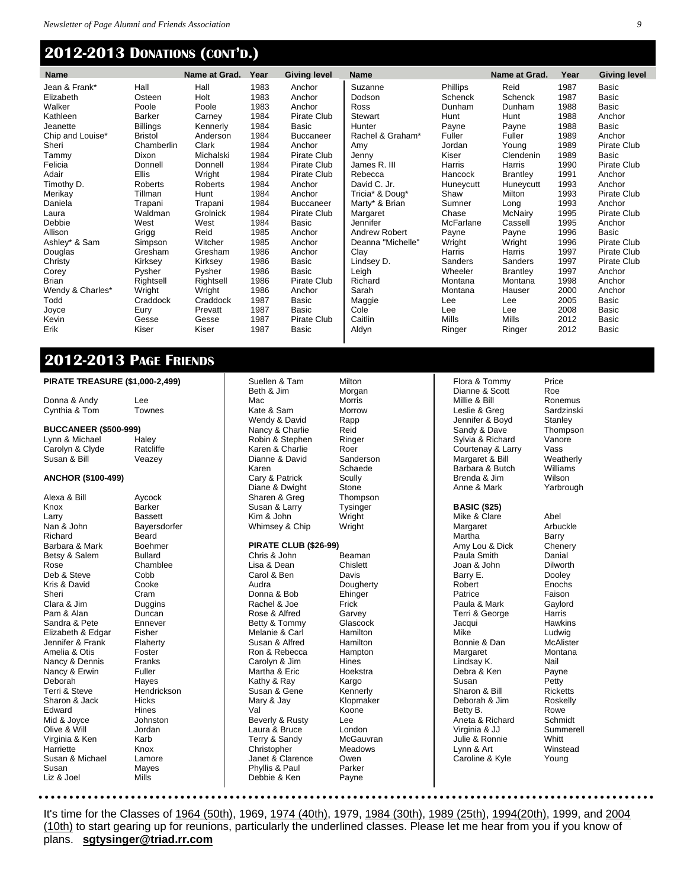### **2012-2013 DONATIONS (CONT'D.)**

| <b>Name</b>      |                 | Name at Grad. | Year | <b>Giving level</b> | <b>Name</b>       |              | Name at Grad.   | Year | <b>Giving level</b> |
|------------------|-----------------|---------------|------|---------------------|-------------------|--------------|-----------------|------|---------------------|
| Jean & Frank*    | Hall            | Hall          | 1983 | Anchor              | Suzanne           | Phillips     | Reid            | 1987 | Basic               |
| Elizabeth        | Osteen          | Holt          | 1983 | Anchor              | Dodson            | Schenck      | <b>Schenck</b>  | 1987 | Basic               |
| Walker           | Poole           | Poole         | 1983 | Anchor              | <b>Ross</b>       | Dunham       | Dunham          | 1988 | Basic               |
| Kathleen         | <b>Barker</b>   | Carney        | 1984 | Pirate Club         | Stewart           | Hunt         | Hunt            | 1988 | Anchor              |
| Jeanette         | <b>Billings</b> | Kennerly      | 1984 | Basic               | Hunter            | Payne        | Payne           | 1988 | Basic               |
| Chip and Louise* | <b>Bristol</b>  | Anderson      | 1984 | <b>Buccaneer</b>    | Rachel & Graham*  | Fuller       | Fuller          | 1989 | Anchor              |
| Sheri            | Chamberlin      | Clark         | 1984 | Anchor              | Amy               | Jordan       | Young           | 1989 | Pirate Club         |
| Tammy            | <b>Dixon</b>    | Michalski     | 1984 | Pirate Club         | Jenny             | Kiser        | Clendenin       | 1989 | Basic               |
| Felicia          | Donnell         | Donnell       | 1984 | Pirate Club         | James R. III      | Harris       | Harris          | 1990 | Pirate Club         |
| Adair            | <b>Ellis</b>    | Wright        | 1984 | Pirate Club         | Rebecca           | Hancock      | <b>Brantley</b> | 1991 | Anchor              |
| Timothy D.       | Roberts         | Roberts       | 1984 | Anchor              | David C. Jr.      | Huneycutt    | Huneycutt       | 1993 | Anchor              |
| Merikay          | Tillman         | Hunt          | 1984 | Anchor              | Tricia* & Doug*   | Shaw         | Milton          | 1993 | Pirate Club         |
| Daniela          | Trapani         | Trapani       | 1984 | <b>Buccaneer</b>    | Marty* & Brian    | Sumner       | Long            | 1993 | Anchor              |
| Laura            | Waldman         | Grolnick      | 1984 | Pirate Club         | Margaret          | Chase        | McNairy         | 1995 | Pirate Club         |
| Debbie           | West            | West          | 1984 | <b>Basic</b>        | Jennifer          | McFarlane    | Cassell         | 1995 | Anchor              |
| Allison          | Grigg           | Reid          | 1985 | Anchor              | Andrew Robert     | Payne        | Payne           | 1996 | Basic               |
| Ashley* & Sam    | Simpson         | Witcher       | 1985 | Anchor              | Deanna "Michelle" | Wright       | Wright          | 1996 | Pirate Club         |
| Douglas          | Gresham         | Gresham       | 1986 | Anchor              | Clay              | Harris       | Harris          | 1997 | Pirate Club         |
| Christy          | Kirksey         | Kirksey       | 1986 | Basic               | Lindsey D.        | Sanders      | Sanders         | 1997 | Pirate Club         |
| Corey            | Pysher          | Pysher        | 1986 | Basic               | Leigh             | Wheeler      | <b>Brantley</b> | 1997 | Anchor              |
| <b>Brian</b>     | Rightsell       | Rightsell     | 1986 | Pirate Club         | Richard           | Montana      | Montana         | 1998 | Anchor              |
| Wendy & Charles* | Wright          | Wright        | 1986 | Anchor              | Sarah             | Montana      | Hauser          | 2000 | Anchor              |
| Todd             | Craddock        | Craddock      | 1987 | <b>Basic</b>        | Maggie            | Lee          | Lee             | 2005 | Basic               |
| Joyce            | Eury            | Prevatt       | 1987 | <b>Basic</b>        | Cole              | Lee          | Lee             | 2008 | Basic               |
| Kevin            | Gesse           | Gesse         | 1987 | Pirate Club         | Caitlin           | <b>Mills</b> | Mills           | 2012 | Basic               |
| Erik             | Kiser           | Kiser         | 1987 | Basic               | Aldyn             | Ringer       | Ringer          | 2012 | Basic               |
|                  |                 |               |      |                     |                   |              |                 |      |                     |

### **2012-2013 PAGE FRIENDS**

#### **PIRATE TREASURE (\$1,000-2,499)**

| PIRAIE IREASURE (\$1,000-2,499) |                      | Suellen &<br>Beth & Jir |
|---------------------------------|----------------------|-------------------------|
| Donna & Andy                    | Lee                  | Mac                     |
| Cynthia & Tom                   | Townes               | Kate & Sa               |
|                                 |                      | Wendy &                 |
| <b>BUCCANEER (\$500-999)</b>    |                      | Nancy & 0               |
| Lynn & Michael                  | Haley                | Robin & S               |
| Carolyn & Clyde                 | Ratcliffe            | Karen & C               |
| Susan & Bill                    | Veazey               | Dianne &                |
|                                 |                      | Karen                   |
| <b>ANCHOR (\$100-499)</b>       |                      | Cary & Pa               |
|                                 |                      | Diane & D               |
| Alexa & Bill                    | Aycock               | Sharen &                |
| Knox                            | Barker               | Susan & I               |
| Larry                           | <b>Bassett</b>       | Kim & Joł               |
| Nan & John                      | Bayersdorfer         | Whimsey                 |
| Richard                         | Beard                |                         |
| Barbara & Mark                  | <b>Boehmer</b>       | <b>PIRATE 0</b>         |
| Betsy & Salem                   | Bullard              | Chris & Jo              |
| Rose                            | Chamblee             | Lisa & De               |
| Deb & Steve                     | Cobb                 | Carol & B               |
| Kris & David                    | Cooke                | Audra                   |
| Sheri                           | Cram                 | Donna &                 |
| Clara & Jim                     | Duggins              | Rachel &                |
| Pam & Alan                      | Duncan               | Rose & A                |
| Sandra & Pete                   | Ennever              | Betty & To              |
| Elizabeth & Edgar               | Fisher               | Melanie 8               |
| Jennifer & Frank                | Flaherty             | Susan & <i>l</i>        |
| Amelia & Otis                   | Foster               | Ron & Re                |
| Nancy & Dennis                  | Franks               | Carolyn &               |
| Nancy & Erwin                   | Fuller               | Martha &                |
| Deborah<br>Terri & Steve        | Hayes<br>Hendrickson | Kathy & R<br>Susan &    |
| Sharon & Jack                   | Hicks                | Mary & Ja               |
| Edward                          | Hines                | Val                     |
| Mid & Joyce                     | Johnston             | Beverly &               |
| Olive & Will                    | Jordan               | Laura & B               |
| Virginia & Ken                  | Karb                 | Terry & S               |
| Harriette                       | Knox                 | Christoph               |
| Susan & Michael                 | Lamore               | Janet & C               |
| Susan                           | Mayes                | Phyllis & I             |
| Liz & Joel                      | Mills                | Debbie &                |
|                                 |                      |                         |
|                                 |                      |                         |

 $\mathbf{I}$ 

#### **PIRATE CLUB (\$26-99)**

Suellen & Tam Milton m Morgan **Morris** am Morrow David Rapp Charlie Reid Stephen Ringer Charlie Roer<br>David Sand Schaede atrick Scully Dwight Stone<br>Greg Thomp Larry Tysinger hn Wright & Chip Wright ohn Beaman

ean Chislett Ben Davis Dougherty Bob Ehinger Joe Frick **Ifred** Garvey ommy Glascock Carl Hamilton Alfred Hamilton ebecca Hampton Carolyn & Jim Hines Hoekstra Ray Kargo Gene Kennerly ay Klopmaker Koone Rusty Lee Bruce London<br>Gandy McGau McGauvran er Meadows Clarence Owen Paul Parker Ken Payne

Sanderson **Thompson** 

Sandy & Dave Sylvia & Richard Vanore Courtenay & Larry Vass<br>
Margaret & Bill Weatherly Margaret & Bill Weatherl<br>Barbara & Butch Williams Barbara & Butch Brenda & Jim Wilson Anne & Mark Yarbrough **BASIC (\$25)** Mike & Clare Abel Margaret Arbuckle<br>
Martha Barry Martha Barry<br>Amy Lou & Dick Chenery Amy Lou & Dick Paula Smith Danial Joan & John Dilworth<br>Barry E. Dooley Barry E. Robert Enochs Patrice **Faison** Paula & Mark Gaylord Terri & George Harris Jacqui Hawkins Mike Ludwig Bonnie & Dan McAlister Margaret Montana Lindsay K. Nail<br>Debra & Ken Payne Debra & Ken Susan Petty Sharon & Bill Ricketts<br>Deborah & Jim Roskelly Deborah & Jim Roske<br>Betty B. Rowe Aneta & Richard

Julie & Ronnie

Dianne & Scott

Flora & Tommy Price<br>Dianne & Scott Roe Millie & Bill Ronemus Leslie & Greg Sardzinski<br>Jennifer & Boyd Stanley Jennifer & Boyd<br>
Sandy & Dave<br>
Thompson

Betty B. Rowe<br>
Aneta & Richard Schmidt Virginia & JJ<br>
Julie & Ronnie Mhitt Lynn & Art Winstead Caroline & Kyle Young

It's time for the Classes of 1964 (50th), 1969, 1974 (40th), 1979, 1984 (30th), 1989 (25th), 1994(20th), 1999, and 2004 (10th) to start gearing up for reunions, particularly the underlined classes. Please let me hear from you if you know of plans. **sgtysinger@triad.rr.com**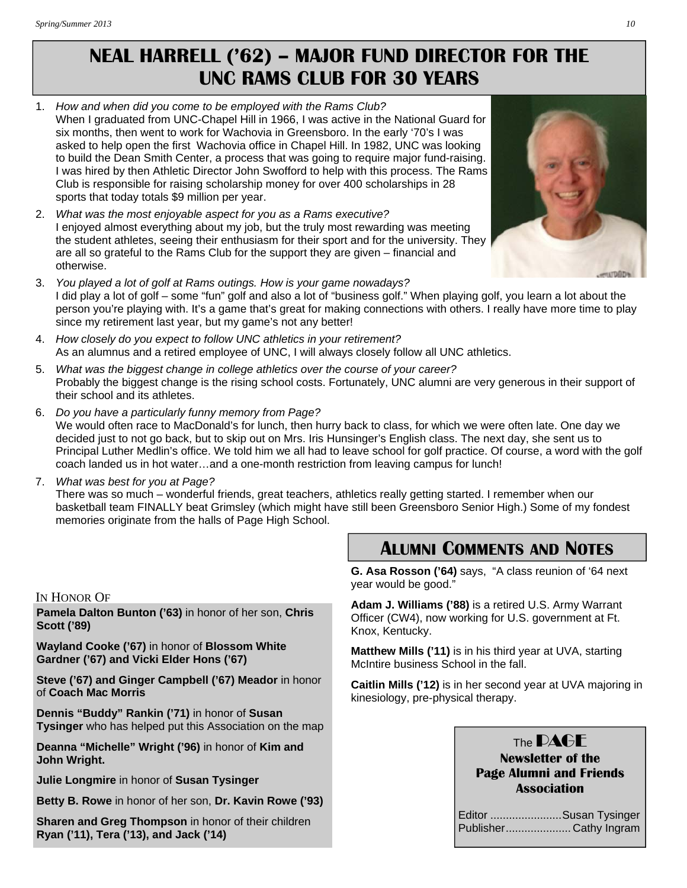# **NEAL HARRELL ('62) – MAJOR FUND DIRECTOR FOR THE UNC RAMS CLUB FOR 30 YEARS**

- 1. *How and when did you come to be employed with the Rams Club?*  When I graduated from UNC-Chapel Hill in 1966, I was active in the National Guard for six months, then went to work for Wachovia in Greensboro. In the early '70's I was asked to help open the first Wachovia office in Chapel Hill. In 1982, UNC was looking to build the Dean Smith Center, a process that was going to require major fund-raising. I was hired by then Athletic Director John Swofford to help with this process. The Rams Club is responsible for raising scholarship money for over 400 scholarships in 28 sports that today totals \$9 million per year.
- 2. *What was the most enjoyable aspect for you as a Rams executive?*  I enjoyed almost everything about my job, but the truly most rewarding was meeting the student athletes, seeing their enthusiasm for their sport and for the university. They are all so grateful to the Rams Club for the support they are given – financial and otherwise.
- 3. *You played a lot of golf at Rams outings. How is your game nowadays?*  I did play a lot of golf – some "fun" golf and also a lot of "business golf." When playing golf, you learn a lot about the person you're playing with. It's a game that's great for making connections with others. I really have more time to play since my retirement last year, but my game's not any better!
- 4. *How closely do you expect to follow UNC athletics in your retirement?*  As an alumnus and a retired employee of UNC, I will always closely follow all UNC athletics.
- 5. *What was the biggest change in college athletics over the course of your career?*  Probably the biggest change is the rising school costs. Fortunately, UNC alumni are very generous in their support of their school and its athletes.
- 6. *Do you have a particularly funny memory from Page?*  We would often race to MacDonald's for lunch, then hurry back to class, for which we were often late. One day we decided just to not go back, but to skip out on Mrs. Iris Hunsinger's English class. The next day, she sent us to Principal Luther Medlin's office. We told him we all had to leave school for golf practice. Of course, a word with the golf coach landed us in hot water…and a one-month restriction from leaving campus for lunch!
- 7. *What was best for you at Page?*

There was so much – wonderful friends, great teachers, athletics really getting started. I remember when our basketball team FINALLY beat Grimsley (which might have still been Greensboro Senior High.) Some of my fondest memories originate from the halls of Page High School.

#### IN HONOR OF

**Pamela Dalton Bunton ('63)** in honor of her son, **Chris Scott ('89)** 

**Wayland Cooke ('67)** in honor of **Blossom White Gardner ('67) and Vicki Elder Hons ('67)** 

**Steve ('67) and Ginger Campbell ('67) Meador** in honor of **Coach Mac Morris** 

**Dennis "Buddy" Rankin ('71)** in honor of **Susan Tysinger** who has helped put this Association on the map

**Deanna "Michelle" Wright ('96)** in honor of **Kim and John Wright.**

**Julie Longmire** in honor of **Susan Tysinger** 

**Betty B. Rowe** in honor of her son, **Dr. Kavin Rowe ('93)** 

**Sharen and Greg Thompson** in honor of their children **Ryan ('11), Tera ('13), and Jack ('14)** 

# **ALUMNI COMMENTS AND NOTES**

**G. Asa Rosson ('64)** says, "A class reunion of '64 next year would be good."

**Adam J. Williams ('88)** is a retired U.S. Army Warrant Officer (CW4), now working for U.S. government at Ft. Knox, Kentucky.

**Matthew Mills ('11)** is in his third year at UVA, starting McIntire business School in the fall.

**Caitlin Mills ('12)** is in her second year at UVA majoring in kinesiology, pre-physical therapy.

### The **DAGF**

### **Newsletter of the Page Alumni and Friends Association**

| Editor Susan Tysinger |
|-----------------------|
| PublisherCathy Ingram |

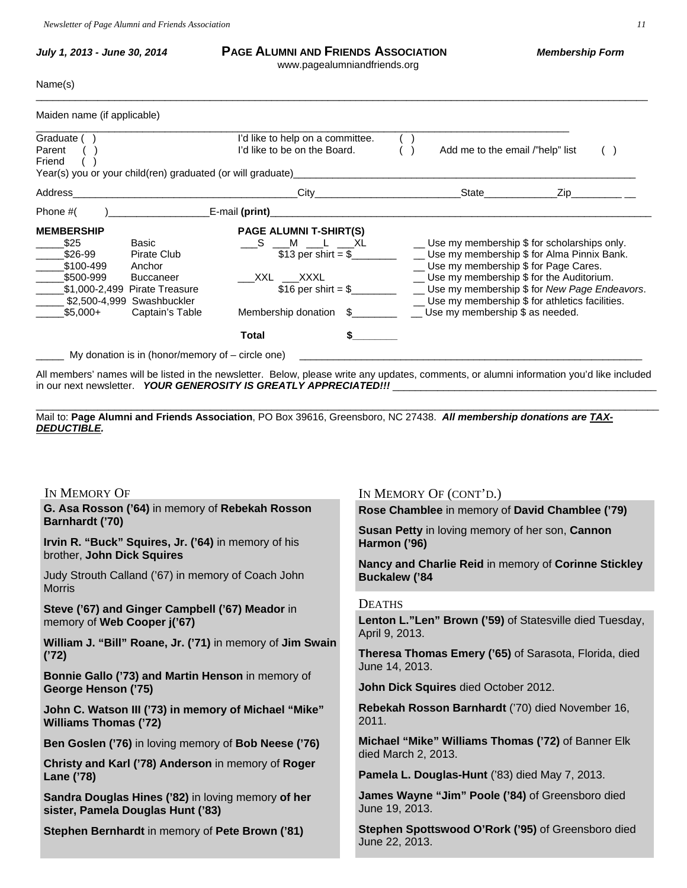My donation is in (honor/memory of – circle one)

| July 1, 2013 - June 30, 2014                                                                                                                                                                                        | <b>PAGE ALUMNI AND FRIENDS ASSOCIATION</b><br>www.pagealumniandfriends.org                                                                                               |                                                                           | <b>Membership Form</b>                                                                                                                                                                                                                          |
|---------------------------------------------------------------------------------------------------------------------------------------------------------------------------------------------------------------------|--------------------------------------------------------------------------------------------------------------------------------------------------------------------------|---------------------------------------------------------------------------|-------------------------------------------------------------------------------------------------------------------------------------------------------------------------------------------------------------------------------------------------|
| Name(s)                                                                                                                                                                                                             |                                                                                                                                                                          |                                                                           |                                                                                                                                                                                                                                                 |
| Maiden name (if applicable)                                                                                                                                                                                         |                                                                                                                                                                          |                                                                           |                                                                                                                                                                                                                                                 |
| Graduate ()<br>Parent<br>Friend                                                                                                                                                                                     | I'd like to help on a committee.<br>I'd like to be on the Board.                                                                                                         | Add me to the email /"help" list                                          |                                                                                                                                                                                                                                                 |
| Address                                                                                                                                                                                                             | $\text{City}$                                                                                                                                                            | State <b>State</b>                                                        | Zip in the set of the set of the set of the set of the set of the set of the set of the set of the set of the                                                                                                                                   |
| Phone #(<br>$\mathbf{r}$                                                                                                                                                                                            | E-mail (print)_                                                                                                                                                          |                                                                           |                                                                                                                                                                                                                                                 |
| <b>MEMBERSHIP</b><br>\$25<br>Basic<br>\$26-99<br>Pirate Club<br>\$100-499<br>Anchor<br>\$500-999<br><b>Buccaneer</b><br>\$1,000-2,499 Pirate Treasure<br>\$2,500-4,999 Swashbuckler<br>$$5,000+$<br>Captain's Table | <b>PAGE ALUMNI T-SHIRT(S)</b><br>$\_S$ $\_M$ $\_L$ $\_XL$<br>\$13 per shirt = $$$<br>XXL XXXL<br>\$16 per shirt = $\frac{6}{2}$<br>Membership donation \$<br>\$<br>Total | _ Use my membership \$ for Page Cares.<br>Use my membership \$ as needed. | __ Use my membership \$ for scholarships only.<br>__ Use my membership \$ for Alma Pinnix Bank.<br>Use my membership \$ for the Auditorium.<br>Use my membership \$ for New Page Endeavors.<br>_ Use my membership \$ for athletics facilities. |

All members' names will be listed in the newsletter. Below, please write any updates, comments, or alumni information you'd like included in our next newsletter. YOUR GENEROSITY IS GREATLY APPRECIATED!!!

\_\_\_\_\_\_\_\_\_\_\_\_\_\_\_\_\_\_\_\_\_\_\_\_\_\_\_\_\_\_\_\_\_\_\_\_\_\_\_\_\_\_\_\_\_\_\_\_\_\_\_\_\_\_\_\_\_\_\_\_\_\_\_\_\_\_\_\_\_\_\_\_\_\_\_\_\_\_\_\_\_\_\_\_\_\_\_\_\_\_\_\_\_\_\_\_\_\_\_\_\_\_\_\_\_\_\_\_\_\_\_

Mail to: **Page Alumni and Friends Association**, PO Box 39616, Greensboro, NC 27438. *All membership donations are TAX-DEDUCTIBLE.*

| IN MEMORY OF                                                                            | IN MEMORY OF (CONT'D.)                                                                                                  |  |  |
|-----------------------------------------------------------------------------------------|-------------------------------------------------------------------------------------------------------------------------|--|--|
| G. Asa Rosson ('64) in memory of Rebekah Rosson<br>Barnhardt ('70)                      | Rose Chamblee in memory of David Chamblee ('79)                                                                         |  |  |
| Irvin R. "Buck" Squires, Jr. ('64) in memory of his<br>brother, John Dick Squires       | Susan Petty in loving memory of her son, Cannon<br>Harmon ('96)<br>Nancy and Charlie Reid in memory of Corinne Stickley |  |  |
| Judy Strouth Calland ('67) in memory of Coach John<br><b>Morris</b>                     | <b>Buckalew ('84</b>                                                                                                    |  |  |
| Steve ('67) and Ginger Campbell ('67) Meador in                                         | <b>DEATHS</b>                                                                                                           |  |  |
| memory of Web Cooper j('67)                                                             | Lenton L."Len" Brown ('59) of Statesville died Tuesday,                                                                 |  |  |
| William J. "Bill" Roane, Jr. ('71) in memory of Jim Swain<br>('72)                      | April 9, 2013.<br>Theresa Thomas Emery ('65) of Sarasota, Florida, died<br>June 14, 2013.                               |  |  |
| Bonnie Gallo ('73) and Martin Henson in memory of<br>George Henson ('75)                | John Dick Squires died October 2012.                                                                                    |  |  |
| John C. Watson III ('73) in memory of Michael "Mike"<br><b>Williams Thomas ('72)</b>    | Rebekah Rosson Barnhardt ('70) died November 16,<br>2011.                                                               |  |  |
| Ben Goslen ('76) in loving memory of Bob Neese ('76)                                    | Michael "Mike" Williams Thomas ('72) of Banner Elk                                                                      |  |  |
| Christy and Karl ('78) Anderson in memory of Roger                                      | died March 2, 2013.                                                                                                     |  |  |
| Lane ('78)                                                                              | Pamela L. Douglas-Hunt ('83) died May 7, 2013.                                                                          |  |  |
| Sandra Douglas Hines ('82) in loving memory of her<br>sister, Pamela Douglas Hunt ('83) | James Wayne "Jim" Poole ('84) of Greensboro died<br>June 19, 2013.                                                      |  |  |
| Stephen Bernhardt in memory of Pete Brown ('81)                                         | Stephen Spottswood O'Rork ('95) of Greensboro died<br>June 22, 2013.                                                    |  |  |